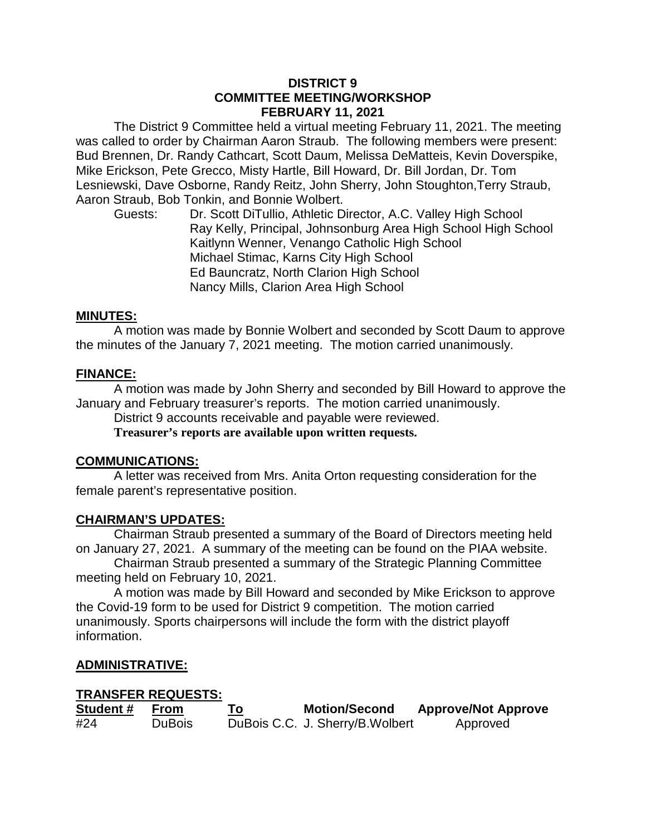### **DISTRICT 9 COMMITTEE MEETING/WORKSHOP FEBRUARY 11, 2021**

The District 9 Committee held a virtual meeting February 11, 2021. The meeting was called to order by Chairman Aaron Straub. The following members were present: Bud Brennen, Dr. Randy Cathcart, Scott Daum, Melissa DeMatteis, Kevin Doverspike, Mike Erickson, Pete Grecco, Misty Hartle, Bill Howard, Dr. Bill Jordan, Dr. Tom Lesniewski, Dave Osborne, Randy Reitz, John Sherry, John Stoughton,Terry Straub, Aaron Straub, Bob Tonkin, and Bonnie Wolbert.

Guests: Dr. Scott DiTullio, Athletic Director, A.C. Valley High School Ray Kelly, Principal, Johnsonburg Area High School High School Kaitlynn Wenner, Venango Catholic High School Michael Stimac, Karns City High School Ed Bauncratz, North Clarion High School Nancy Mills, Clarion Area High School

### **MINUTES:**

A motion was made by Bonnie Wolbert and seconded by Scott Daum to approve the minutes of the January 7, 2021 meeting. The motion carried unanimously.

### **FINANCE:**

A motion was made by John Sherry and seconded by Bill Howard to approve the January and February treasurer's reports. The motion carried unanimously.

District 9 accounts receivable and payable were reviewed.

**Treasurer's reports are available upon written requests.**

#### **COMMUNICATIONS:**

A letter was received from Mrs. Anita Orton requesting consideration for the female parent's representative position.

#### **CHAIRMAN'S UPDATES:**

Chairman Straub presented a summary of the Board of Directors meeting held on January 27, 2021. A summary of the meeting can be found on the PIAA website.

Chairman Straub presented a summary of the Strategic Planning Committee meeting held on February 10, 2021.

A motion was made by Bill Howard and seconded by Mike Erickson to approve the Covid-19 form to be used for District 9 competition. The motion carried unanimously. Sports chairpersons will include the form with the district playoff information.

# **ADMINISTRATIVE:**

#### **TRANSFER REQUESTS:**

| Student# | From          | <b>Motion/Second</b>             | <b>Approve/Not Approve</b> |
|----------|---------------|----------------------------------|----------------------------|
| #24      | <b>DuBois</b> | DuBois C.C. J. Sherry/B. Wolbert | Approved                   |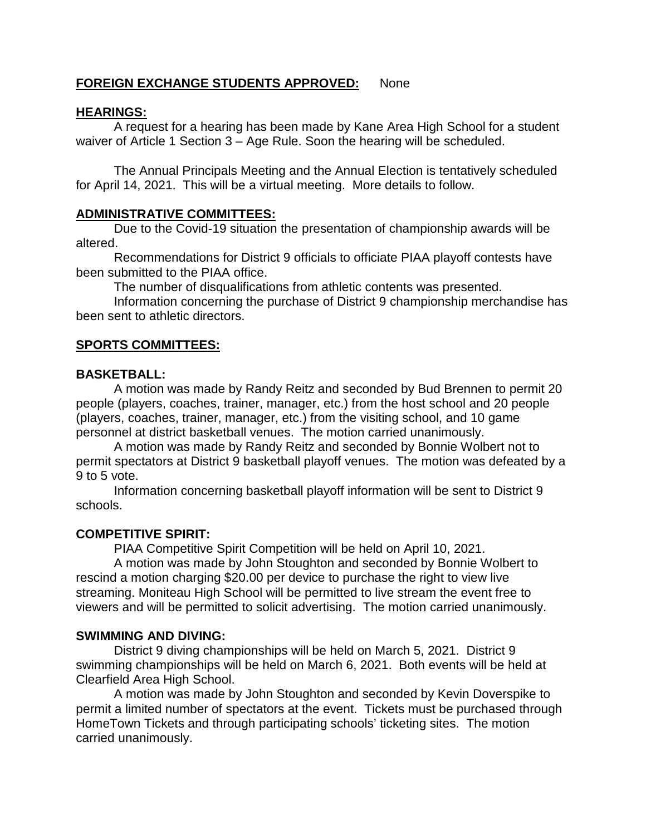# **FOREIGN EXCHANGE STUDENTS APPROVED:** None

# **HEARINGS:**

A request for a hearing has been made by Kane Area High School for a student waiver of Article 1 Section 3 – Age Rule. Soon the hearing will be scheduled.

The Annual Principals Meeting and the Annual Election is tentatively scheduled for April 14, 2021. This will be a virtual meeting. More details to follow.

### **ADMINISTRATIVE COMMITTEES:**

Due to the Covid-19 situation the presentation of championship awards will be altered.

Recommendations for District 9 officials to officiate PIAA playoff contests have been submitted to the PIAA office.

The number of disqualifications from athletic contents was presented.

Information concerning the purchase of District 9 championship merchandise has been sent to athletic directors.

### **SPORTS COMMITTEES:**

### **BASKETBALL:**

A motion was made by Randy Reitz and seconded by Bud Brennen to permit 20 people (players, coaches, trainer, manager, etc.) from the host school and 20 people (players, coaches, trainer, manager, etc.) from the visiting school, and 10 game personnel at district basketball venues. The motion carried unanimously.

A motion was made by Randy Reitz and seconded by Bonnie Wolbert not to permit spectators at District 9 basketball playoff venues. The motion was defeated by a 9 to 5 vote.

Information concerning basketball playoff information will be sent to District 9 schools.

# **COMPETITIVE SPIRIT:**

PIAA Competitive Spirit Competition will be held on April 10, 2021.

A motion was made by John Stoughton and seconded by Bonnie Wolbert to rescind a motion charging \$20.00 per device to purchase the right to view live streaming. Moniteau High School will be permitted to live stream the event free to viewers and will be permitted to solicit advertising. The motion carried unanimously.

#### **SWIMMING AND DIVING:**

District 9 diving championships will be held on March 5, 2021. District 9 swimming championships will be held on March 6, 2021. Both events will be held at Clearfield Area High School.

A motion was made by John Stoughton and seconded by Kevin Doverspike to permit a limited number of spectators at the event. Tickets must be purchased through HomeTown Tickets and through participating schools' ticketing sites. The motion carried unanimously.